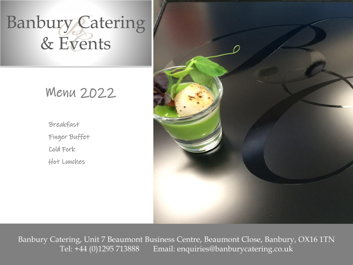# Banbury Catering & Events

## Menu 2022

Breakfast Finger Buffet Cold Fork Hot Lunches



Banbury Catering, Unit 7 Beaumont Business Centre, Beaumont Close, Banbury, OX16 1TN Tel: +44 (0)1295 713888 Email: enquiries@banburycatering.co.uk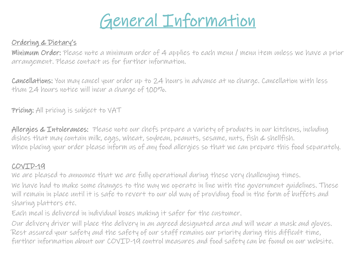

### Ordering & Dietary's

Minimum Order: Please note a minimum order of 4 applies to each menu / menu item unless we have a prior arrangement. Please contact us for further information.

Cancellations: You may cancel your order up to 24 hours in advance at no charge. Cancellation with less than 24 hours notice will incur a charge of 100%.

Pricing: All pricing is subject to VAT

Allergies & Intolerances: Please note our chefs prepare a variety of products in our kitchens, including dishes that may contain milk, eggs, wheat, soybean, peanuts, sesame, nuts, fish & shellfish. When placing your order please inform us of any food allergies so that we can prepare this food separately.

### COVID-19

We are pleased to announce that we are fully operational during these very challenging times.

We have had to make some changes to the way we operate in line with the government guidelines. These will remain in place until it is safe to revert to our old way of providing food in the form of buffets and sharing platters etc.

Each meal is delivered in individual boxes making it safer for the customer.

Our delivery driver will place the delivery in an agreed designated area and will wear a mask and gloves. Rest assured your safety and the safety of our staff remains our priority during this difficult time, further information about our COVID-19 control measures and food safety can be found on our website.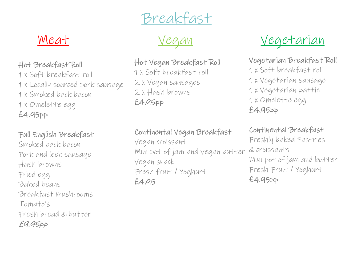Breakfast



## Hot Breakfast Roll

1 x Soft breakfast roll 1 x Locally sourced pork sausage 1 x Smoked back bacon 1 x Omelette egg £4.95pp

## Full English Breakfast

Smoked back bacon Pork and leek sausage Hash browns Fried egg Baked beans Breakfast mushrooms Tomato's Fresh bread & butter £9.95pp

### Hot Vegan Breakfast Roll

1 x Soft breakfast roll 2 x Vegan sausages 2 x Hash browns £4.95pp

## Continental Vegan Breakfast

Vegan croissant Mini pot of jam and vegan butter Vegan snack Fresh fruit / Yoghurt £4.95

<u>Meat</u> <u>Vegan</u> <u>Vegan</u> <u>Vegetarian</u>

## Vegetarian Breakfast Roll

1 x Soft breakfast roll 1 x Vegetarian sausage 1 x Vegetarian pattie 1 x Omelette egg £4.95pp

## Continental Breakfast

Freshly baked Pastries & croissants Mini pot of jam and butter Fresh Fruit / Yoghurt £4.95pp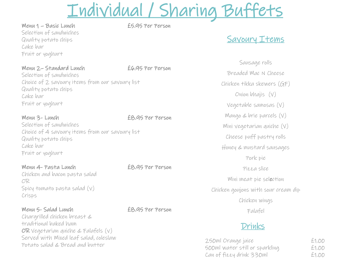## Individual / Sharing Buffets

Menu 1 – Basic Lunch £5.95 Per Person Selection of sandwiches Quality potato chips Cake bar Fruit or yoghurt

Menu 2– Standard Lunch £6.95 Per Person

Selection of sandwiches Choice of 2 savoury items from our savoury list Quality potato chips Cake bar Fruit or yoghurt

Menu 3- Lunch £8.95 Per Person Selection of sandwiches Choice of 4 savoury items from our savoury list Quality potato chips Cake bar Fruit or yoghurt

Menu 4- Pasta Lunch EB.95 Per Person Chicken and bacon pasta salad OR Spicy tomato pasta salad (v) Crisps

Menu 5- Salad Lunch EB.95 Per Person Chargrilled chicken breast & traditional baked ham OR Vegetarian quiche & Falafels (v) Served with Mixed leaf salad, coleslaw Potato salad & Bread and butter

## Savoury Items

Sausage rolls Breaded Mac N Cheese Chicken tikka skewers (GF) Onion bhajis (V) Vegetable samosas (V) Mango & brie parcels (V) Mini vegetarian quiche (V) Cheese puff pastry rolls Honey & mustard sausages Pork pie Pizza slice Mini meat pie selection Chicken goujons with sour cream dip Chicken wings Falafel

## Drinks

250ml Orange juice £1.00 500ml water still or sparkling £1.00 Can of fizzy drink 330ml £1.00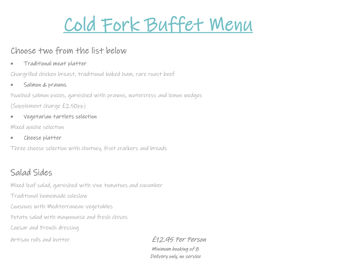

## Choose two from the list below

• Traditional meat platter

Chargrilled chicken breast, traditional baked ham, rare roast beef

• Salmon & prawns

Poached salmon pieces, garnished with prawns, watercress and lemon wedges (Supplement charge £2.50pp)

• Vegetarian tartlets selection

Mixed quiche selection

• Cheese platter

Three cheese selection with chutney, fruit crackers and breads

## Salad Sides

Mixed leaf salad, garnished with vine tomatoes and cucumber

Traditional homemade coleslaw

Couscous with Mediterranean vegetables

Potato salad with mayonnaise and fresh chives

Caesar and French dressing

Artisan rolls and butter **E12.95 Per Person** 

Minimum booking of 8 Delivery only, no service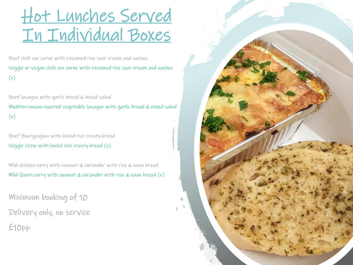# Hot Lunches Served In Individual Boxes

Beef chilli con carne with steamed rice sour cream and nachos Veggie or vegan chilli con carne with steamed rice sour cream and nachos  $(v)$ 

Beef lasagne with garlic bread & mixed salad Mediterranean roasted vegetable lasagne with garlic bread & mixed salad  $(v)$ 

Beef Bourguignon with boiled rice crusty bread Veggie stew with boiled rice crusty bread (v)

Mild chicken curry with coconut & coriander with rice & naan bread Mild Quorn curry with coconut & coriander with rice  $\&$  naan bread  $(v)$ 

Minimum booking of 10

Delivery only, no service

£10pp